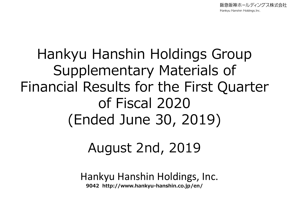阪急阪神ホールディングス株式会社 Hankyu Hanshin Holdings, Inc.

# Hankyu Hanshin Holdings Group Supplementary Materials of Financial Results for the First Quarter of Fiscal 2020 (Ended June 30, 2019)

## August 2nd, 2019

Hankyu Hanshin Holdings, Inc. **9042 http://www.hankyu-hanshin.co.jp/en/**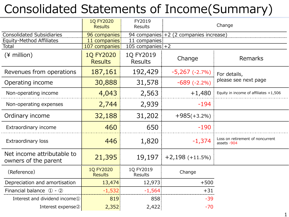## Consolidated Statements of Income(Summary)

|                                                    | <b>1Q FY2020</b><br><b>Results</b> | FY2019<br><b>Results</b>    |                                        | Change                                          |
|----------------------------------------------------|------------------------------------|-----------------------------|----------------------------------------|-------------------------------------------------|
| <b>Consolidated Subsidiaries</b>                   | 96 companies                       |                             | 94 companies +2 (2 companies increase) |                                                 |
| Equity-Method Affiliates                           | 11 companies                       | 11 companies                |                                        |                                                 |
| Total                                              | 107 companies                      | 105 companies $+2$          |                                        |                                                 |
| $(*)$ million)                                     | <b>1Q FY2020</b><br><b>Results</b> | 1Q FY2019<br><b>Results</b> | Change                                 | Remarks                                         |
| Revenues from operations                           | 187,161                            | 192,429                     | $-5,267(-2.7%)$                        | For details,                                    |
| Operating income                                   | 30,888                             | 31,578                      | $-689$ $(-2.2\%)$                      | please see next page                            |
| Non-operating income                               | 4,043                              | 2,563                       | $+1,480$                               | Equity in income of affiliates $+1,506$         |
| Non-operating expenses                             | 2,744                              | 2,939                       | $-194$                                 |                                                 |
| Ordinary income                                    | 32,188                             | 31,202                      | $+985(+3.2%)$                          |                                                 |
| Extraordinary income                               | 460                                | 650                         | $-190$                                 |                                                 |
| Extraordinary loss                                 | 446                                | 1,820                       | $-1,374$                               | Loss on retirement of noncurrent<br>assets -904 |
| Net income attributable to<br>owners of the parent | 21,395                             |                             | $19,197$ +2,198 (+11.5%)               |                                                 |
| (Reference)                                        | <b>1Q FY2020</b><br><b>Results</b> | 1Q FY2019<br>Results        | Change                                 |                                                 |
| Depreciation and amortisation                      | 13,474                             | 12,973                      | $+500$                                 |                                                 |
| Financial balance $\Phi$ - $\Phi$                  | $-1,532$                           | $-1,564$                    | $+31$                                  |                                                 |
| Interest and dividend income <sup>1</sup>          | 819                                | 858                         | $-39$                                  |                                                 |
| Interest expense2                                  | 2,352                              | 2,422                       | $-70$                                  |                                                 |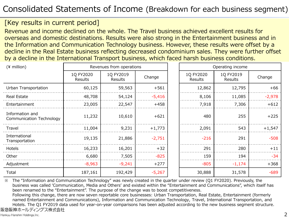### Consolidated Statements of Income (Breakdown for each business segment)

#### [Key results in current period]

Revenue and income declined on the whole. The Travel business achieved excellent results for overseas and domestic destinations. Results were also strong in the Entertainment business and in the Information and Communication Technology business. However, these results were offset by a decline in the Real Estate business reflecting decreased condominium sales. They were further offset by a decline in the International Transport business, which faced harsh business conditions.

| $(*$ million)                               | Revenues from operations |                      |          | Operating income     |                      |          |
|---------------------------------------------|--------------------------|----------------------|----------|----------------------|----------------------|----------|
|                                             | 1Q FY2020<br>Results     | 1Q FY2019<br>Results | Change   | 1Q FY2020<br>Results | 1Q FY2019<br>Results | Change   |
| Urban Transportation                        | 60,125                   | 59,563               | $+561$   | 12,862               | 12,795               | $+66$    |
| Real Estate                                 | 48,708                   | 54,124               | $-5,416$ | 8,106                | 11,085               | $-2,978$ |
| Entertainment                               | 23,005                   | 22,547               | $+458$   | 7,918                | 7,306                | $+612$   |
| Information and<br>Communication Technology | 11,232                   | 10,610               | $+621$   | 480                  | 255                  | $+225$   |
| Travel                                      | 11,004                   | 9,231                | $+1,773$ | 2,091                | 543                  | $+1,547$ |
| International<br>Transportation             | 19,135                   | 21,886               | $-2,751$ | $-216$               | 291                  | $-508$   |
| Hotels                                      | 16,233                   | 16,201               | $+32$    | 291                  | 280                  | $+11$    |
| Other                                       | 6,680                    | 7,505                | $-825$   | 159                  | 194                  | $-34$    |
| Adjustment                                  | $-8,963$                 | $-9,241$             | $+277$   | $-805$               | $-1,174$             | $+368$   |
| Total                                       | 187,161                  | 192,429              | $-5,267$ | 30,888               | 31,578               | $-689$   |

※ The "Information and Communication Technology" was newly created in the quarter under review (Q1 FY2020). Previously, the business was called 'Communication, Media and Others' and existed within the "Entertainment and Communications", which itself has been renamed to the "Entertainment". The purpose of the change was to boost competitiveness.

Following this change, there are now seven reportable core businesses: Urban Transportation, Real Estate, Entertainment (formerly named Entertainment and Communications), Information and Communication Technology, Travel, International Transportation, and Hotels. The Q1 FY2019 data used for year-on-year comparisons has been adjusted according to the new business segment structure.阪急阪神ホールディングス株式会社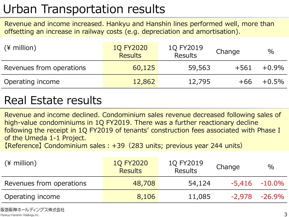## Urban Transportation results

Revenue and income increased. Hankyu and Hanshin lines performed well, more than offsetting an increase in railway costs (e.g. depreciation and amortisation).

| $(*)$ million)           | <b>1Q FY2020</b><br><b>Results</b> | 1Q FY2019<br><b>Results</b> | Change | $\%$     |
|--------------------------|------------------------------------|-----------------------------|--------|----------|
| Revenues from operations | 60,125                             | 59,563                      | $+561$ | $+0.9\%$ |
| Operating income         | 12,862                             | 12,795                      | +66    | $+0.5\%$ |

### Real Estate results

Revenue and income declined. Condominium sales revenue decreased following sales of high-value condominiums in 1Q FY2019. There was a further reactionary decline following the receipt in 1Q FY2019 of tenants' construction fees associated with Phase I of the Umeda 1-1 Project.

【Reference】 Condominium sales:+39(283 units; previous year 244 units)

| $(*)$ million            | <b>1Q FY2020</b><br><b>Results</b> | 1Q FY2019<br><b>Results</b> | Change | $\%$               |
|--------------------------|------------------------------------|-----------------------------|--------|--------------------|
| Revenues from operations | 48,708                             | 54,124                      |        | $-5,416$ $-10.0\%$ |
| Operating income         | 8,106                              | 11,085                      | -2,978 | $-26.9\%$          |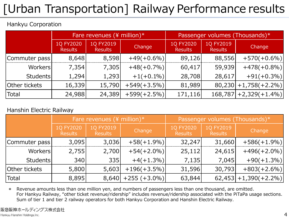## [Urban Transportation] Railway Performance results

#### Hankyu Corporation

|                 | Fare revenues (¥ million) $*$ |                             |               | Passenger volumes (Thousands)* |                             |                          |
|-----------------|-------------------------------|-----------------------------|---------------|--------------------------------|-----------------------------|--------------------------|
|                 | 1Q FY2020<br><b>Results</b>   | 1Q FY2019<br><b>Results</b> | Change        | 1Q FY2020<br><b>Results</b>    | 1Q FY2019<br><b>Results</b> | Change                   |
| Commuter pass   | 8,648                         | 8,598                       | $+49(+0.6\%)$ | 89,126                         | 88,556                      | $+570(+0.6%)$            |
| Workers         | 7,354                         | 7,305                       | $+48(+0.7\%)$ | 60,417                         | 59,939                      | $+478(+0.8\%)$           |
| <b>Students</b> | 1,294                         | 1,293                       | $+1(+0.1\%)$  | 28,708                         | 28,617                      | $+91(+0.3\%)$            |
| Other tickets   | 16,339                        | 15,790                      | $+549(+3.5%)$ | 81,989                         |                             | $80,230 +1,758(+2.2%)$   |
| Total           | 24,988                        | 24,389                      | $+599(+2.5%)$ | 171,116                        |                             | $168,787$ + 2,329(+1.4%) |

#### Hanshin Electric Railway

|                 |                             | Fare revenues ( $\frac{4}{3}$ million)* |                 | Passenger volumes (Thousands)* |                             |                          |
|-----------------|-----------------------------|-----------------------------------------|-----------------|--------------------------------|-----------------------------|--------------------------|
|                 | 1Q FY2020<br><b>Results</b> | 1Q FY2019<br><b>Results</b>             | Change          | 1Q FY2020<br><b>Results</b>    | 1Q FY2019<br><b>Results</b> | Change                   |
| Commuter pass   | 3,095                       | 3,036                                   | $+58(+1.9\%)$   | 32,247                         | 31,660                      | $+586(+1.9\%)$           |
| Workers         | 2,755                       | 2,700                                   | $+54(+2.0\%)$   | 25,112                         | 24,615                      | $+496(+2.0\%)$           |
| <b>Students</b> | 340                         | 335                                     | $+4(+1.3\%)$    | 7,135                          | 7,045                       | $+90(+1.3\%)$            |
| Other tickets   | 5,800                       | 5,603                                   | $+196(+3.5\%)$  | 31,596                         | 30,793                      | $+803(+2.6%)$            |
| Total           | 8,895                       | 8,640                                   | $+255 (+3.0\%)$ | 63,844                         |                             | $62,453 + 1,390(+2.2\%)$ |

\* Revenue amounts less than one million yen, and numbers of passengers less than one thousand, are omitted. For Hankyu Railway, "other ticket revenue/ridership" includes revenue/ridership associated with the PiTaPa usage sections. Sum of tier 1 and tier 2 railway operators for both Hankyu Corporation and Hanshin Electric Railway.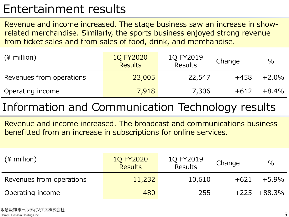### Entertainment results

Revenue and income increased. The stage business saw an increase in showrelated merchandise. Similarly, the sports business enjoyed strong revenue from ticket sales and from sales of food, drink, and merchandise.

| $(*)$ million)           | <b>1Q FY2020</b><br><b>Results</b> | 1Q FY2019<br><b>Results</b> | Change | $\%$     |
|--------------------------|------------------------------------|-----------------------------|--------|----------|
| Revenues from operations | 23,005                             | 22,547                      | $+458$ | $+2.0\%$ |
| Operating income         | 7,918                              | 7,306                       | $+612$ | $+8.4\%$ |

### Information and Communication Technology results

Revenue and income increased. The broadcast and communications business benefitted from an increase in subscriptions for online services.

| $(*)$ million)           | <b>1Q FY2020</b><br><b>Results</b> | 1Q FY2019<br><b>Results</b> | Change | $\%$            |
|--------------------------|------------------------------------|-----------------------------|--------|-----------------|
| Revenues from operations | 11,232                             | 10,610                      | $+621$ | $+5.9\%$        |
| Operating income         | 480                                | 255                         |        | $+225 + 88.3\%$ |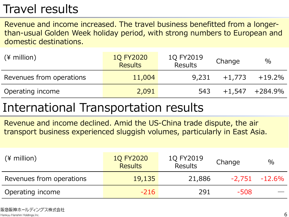### Travel results

Revenue and income increased. The travel business benefitted from a longerthan-usual Golden Week holiday period, with strong numbers to European and domestic destinations.

| $(*)$ million)           | <b>1Q FY2020</b><br><b>Results</b> | 1Q FY2019<br><b>Results</b> | Change   | $\%$                |
|--------------------------|------------------------------------|-----------------------------|----------|---------------------|
| Revenues from operations | 11,004                             | 9,231                       | $+1.773$ | $+19.2\%$           |
| Operating income         | 2,091                              | 543                         |          | $+1,547$ $+284.9\%$ |

### International Transportation results

Revenue and income declined. Amid the US-China trade dispute, the air transport business experienced sluggish volumes, particularly in East Asia.

| $(*)$ million)           | <b>1Q FY2020</b><br><b>Results</b> | 1Q FY2019<br><b>Results</b> | Change | $\%$             |
|--------------------------|------------------------------------|-----------------------------|--------|------------------|
| Revenues from operations | 19,135                             | 21,886                      |        | $-2,751 -12.6\%$ |
| Operating income         | $-216$                             | 291                         | $-508$ |                  |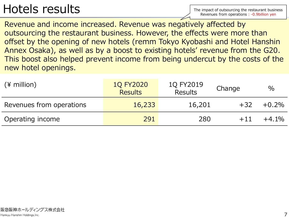### Hotels results

Revenue and income increased. Revenue was negatively affected by outsourcing the restaurant business. However, the effects were more than offset by the opening of new hotels (remm Tokyo Kyobashi and Hotel Hanshin Annex Osaka), as well as by a boost to existing hotels' revenue from the G20. This boost also helped prevent income from being undercut by the costs of the new hotel openings.

| $(*)$ million)           | <b>1Q FY2020</b><br><b>Results</b> | 1Q FY2019<br><b>Results</b> | Change | $\%$     |
|--------------------------|------------------------------------|-----------------------------|--------|----------|
| Revenues from operations | 16,233                             | 16,201                      | $+32$  | $+0.2\%$ |
| Operating income         | 291                                | 280                         | $+11$  | $+4.1%$  |